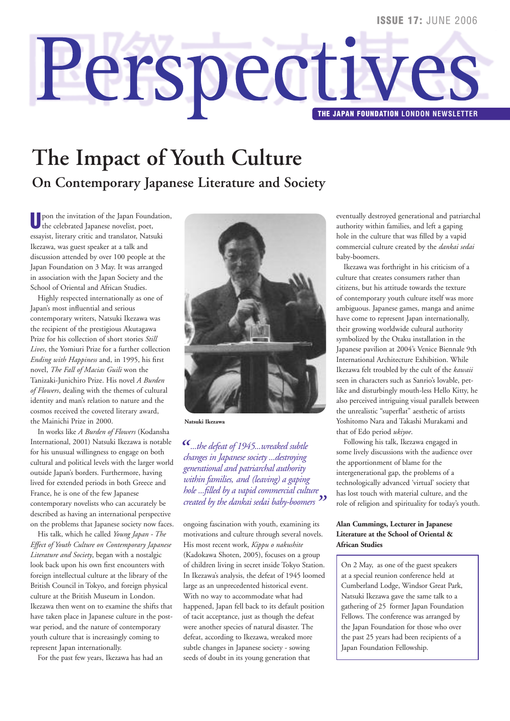# Perspectiv **THE JAPAN FOUNDATION LONDON NEWSLETTER**

## **The Impact of Youth Culture On Contemporary Japanese Literature and Society**

**U** pon the invitation of the Japan Foundation, the celebrated Japanese novelist, poet, essayist, literary critic and translator, Natsuki Ikezawa, was guest speaker at a talk and discussion attended by over 100 people at the Japan Foundation on 3 May. It was arranged in association with the Japan Society and the School of Oriental and African Studies.

Highly respected internationally as one of Japan's most influential and serious contemporary writers, Natsuki Ikezawa was the recipient of the prestigious Akutagawa Prize for his collection of short stories *Still Lives*, the Yomiuri Prize for a further collection *Ending with Happiness* and, in 1995, his first novel, *The Fall of Macias Guili* won the Tanizaki-Junichiro Prize. His novel *A Burden of Flowers*, dealing with the themes of cultural identity and man's relation to nature and the cosmos received the coveted literary award, the Mainichi Prize in 2000.

In works like *A Burden of Flowers* (Kodansha International, 2001) Natsuki Ikezawa is notable for his unusual willingness to engage on both cultural and political levels with the larger world outside Japan's borders. Furthermore, having lived for extended periods in both Greece and France, he is one of the few Japanese contemporary novelists who can accurately be described as having an international perspective on the problems that Japanese society now faces.

His talk, which he called *Young Japan - The Effect of Youth Culture on Contemporary Japanese Literature and Society*, began with a nostalgic look back upon his own first encounters with foreign intellectual culture at the library of the British Council in Tokyo, and foreign physical culture at the British Museum in London. Ikezawa then went on to examine the shifts that have taken place in Japanese culture in the postwar period, and the nature of contemporary youth culture that is increasingly coming to represent Japan internationally.

For the past few years, Ikezawa has had an



**Natsuki Ikezawa**

*"...the defeat of 1945...wreaked subtle changes in Japanese society ...destroying generational and patriarchal authority within families, and (leaving) a gaping hole ...filled by a vapid commercial culture created by the dankai sedai baby-boomers"*

ongoing fascination with youth, examining its motivations and culture through several novels. His most recent work, *Kippu o nakushite* (Kadokawa Shoten, 2005), focuses on a group of children living in secret inside Tokyo Station. In Ikezawa's analysis, the defeat of 1945 loomed large as an unprecedented historical event. With no way to accommodate what had happened, Japan fell back to its default position of tacit acceptance, just as though the defeat were another species of natural disaster. The defeat, according to Ikezawa, wreaked more subtle changes in Japanese society - sowing seeds of doubt in its young generation that

eventually destroyed generational and patriarchal authority within families, and left a gaping hole in the culture that was filled by a vapid commercial culture created by the *dankai sedai* baby-boomers.

Ikezawa was forthright in his criticism of a culture that creates consumers rather than citizens, but his attitude towards the texture of contemporary youth culture itself was more ambiguous. Japanese games, manga and anime have come to represent Japan internationally, their growing worldwide cultural authority symbolized by the Otaku installation in the Japanese pavilion at 2004's Venice Biennale 9th International Architecture Exhibition. While Ikezawa felt troubled by the cult of the *kawaii* seen in characters such as Sanrio's lovable, petlike and disturbingly mouth-less Hello Kitty, he also perceived intriguing visual parallels between the unrealistic "superflat" aesthetic of artists Yoshitomo Nara and Takashi Murakami and that of Edo period *ukiyoe*.

Following his talk, Ikezawa engaged in some lively discussions with the audience over the apportionment of blame for the intergenerational gap, the problems of a technologically advanced 'virtual' society that has lost touch with material culture, and the role of religion and spirituality for today's youth.

#### **Alan Cummings, Lecturer in Japanese Literature at the School of Oriental & African Studies**

On 2 May, as one of the guest speakers at a special reunion conference held at Cumberland Lodge, Windsor Great Park, Natsuki Ikezawa gave the same talk to a gathering of 25 former Japan Foundation Fellows. The conference was arranged by the Japan Foundation for those who over the past 25 years had been recipients of a Japan Foundation Fellowship.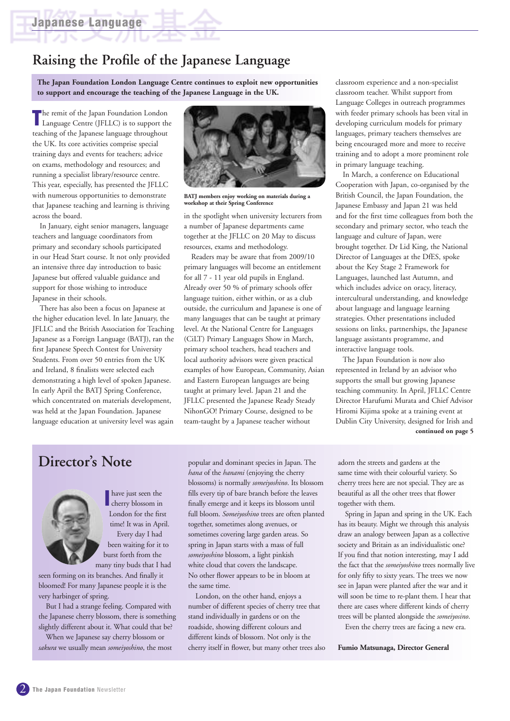## **Raising the Profile of the Japanese Language**

**The Japan Foundation London Language Centre continues to exploit new opportunities to support and encourage the teaching of the Japanese Language in the UK.**

The remit of the Japan Foundation London<br>
Language Centre (JFLLC) is to support the Language Centre (JFLLC) is to support the teaching of the Japanese language throughout the UK. Its core activities comprise special training days and events for teachers; advice on exams, methodology and resources; and running a specialist library/resource centre. This year, especially, has presented the JFLLC with numerous opportunities to demonstrate that Japanese teaching and learning is thriving across the board.

In January, eight senior managers, language teachers and language coordinators from primary and secondary schools participated in our Head Start course. It not only provided an intensive three day introduction to basic Japanese but offered valuable guidance and support for those wishing to introduce Japanese in their schools.

There has also been a focus on Japanese at the higher education level. In late January, the JFLLC and the British Association for Teaching Japanese as a Foreign Language (BATJ), ran the first Japanese Speech Contest for University Students. From over 50 entries from the UK and Ireland, 8 finalists were selected each demonstrating a high level of spoken Japanese. In early April the BATJ Spring Conference, which concentrated on materials development, was held at the Japan Foundation. Japanese language education at university level was again



**BATJ members enjoy working on materials during a workshop at their Spring Conference** 

in the spotlight when university lecturers from a number of Japanese departments came together at the JFLLC on 20 May to discuss resources, exams and methodology.

Readers may be aware that from 2009/10 primary languages will become an entitlement for all 7 - 11 year old pupils in England. Already over 50 % of primary schools offer language tuition, either within, or as a club outside, the curriculum and Japanese is one of many languages that can be taught at primary level. At the National Centre for Languages (CiLT) Primary Languages Show in March, primary school teachers, head teachers and local authority advisors were given practical examples of how European, Community, Asian and Eastern European languages are being taught at primary level. Japan 21 and the JFLLC presented the Japanese Ready Steady NihonGO! Primary Course, designed to be team-taught by a Japanese teacher without

classroom experience and a non-specialist classroom teacher. Whilst support from Language Colleges in outreach programmes with feeder primary schools has been vital in developing curriculum models for primary languages, primary teachers themselves are being encouraged more and more to receive training and to adopt a more prominent role in primary language teaching.

In March, a conference on Educational Cooperation with Japan, co-organised by the British Council, the Japan Foundation, the Japanese Embassy and Japan 21 was held and for the first time colleagues from both the secondary and primary sector, who teach the language and culture of Japan, were brought together. Dr Lid King, the National Director of Languages at the DfES, spoke about the Key Stage 2 Framework for Languages, launched last Autumn, and which includes advice on oracy, literacy, intercultural understanding, and knowledge about language and language learning strategies. Other presentations included sessions on links, partnerships, the Japanese language assistants programme, and interactive language tools.

The Japan Foundation is now also represented in Ireland by an advisor who supports the small but growing Japanese teaching community. In April, JFLLC Centre Director Harufumi Murata and Chief Advisor Hiromi Kijima spoke at a training event at Dublin City University, designed for Irish and **continued on page 5**

## **Director' s Note**



**I** have just seen the cherry blossom in have just seen the London for the first time! It was in April. Every day I had been waiting for it to burst forth from the many tiny buds that I had

seen forming on its branches. And finally it bloomed! For many Japanese people it is the very harbinger of spring.

But I had a strange feeling. Compared with the Japanese cherry blossom, there is something slightly different about it. What could that be?

When we Japanese say cherry blossom or *sakura* we usually mean *someiyoshino*, the most popular and dominant species in Japan. The *hana* of the *hanami* (enjoying the cherry blossoms) is normally *someiyoshino*. Its blossom fills every tip of bare branch before the leaves finally emerge and it keeps its blossom until full bloom. *Someiyoshino* trees are often planted together, sometimes along avenues, or sometimes covering large garden areas. So spring in Japan starts with a mass of full *someiyoshino* blossom, a light pinkish white cloud that covers the landscape. No other flower appears to be in bloom at the same time.

London, on the other hand, enjoys a number of different species of cherry tree that stand individually in gardens or on the roadside, showing different colours and different kinds of blossom. Not only is the cherry itself in flower, but many other trees also adorn the streets and gardens at the same time with their colourful variety. So cherry trees here are not special. They are as beautiful as all the other trees that flower together with them.

Spring in Japan and spring in the UK. Each has its beauty. Might we through this analysis draw an analogy between Japan as a collective society and Britain as an individualistic one? If you find that notion interesting, may I add the fact that the *someiyoshino* trees normally live for only fifty to sixty years. The trees we now see in Japan were planted after the war and it will soon be time to re-plant them. I hear that there are cases where different kinds of cherry trees will be planted alongside the *someiyosino*.

Even the cherry trees are facing a new era.

**Fumio Matsunaga, Director General**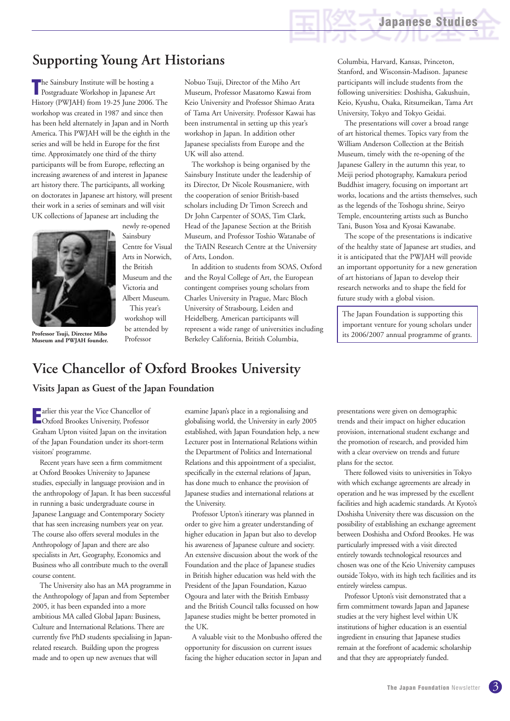## **Supporting Young Art Historians**

**T** he Sainsbury Institute will be hosting a Postgraduate Workshop in Japanese Art he Sainsbury Institute will be hosting a History (PWJAH) from 19-25 June 2006. The workshop was created in 1987 and since then has been held alternately in Japan and in North America. This PWJAH will be the eighth in the series and will be held in Europe for the first time. Approximately one third of the thirty participants will be from Europe, reflecting an increasing awareness of and interest in Japanese art history there. The participants, all working on doctorates in Japanese art history, will present their work in a series of seminars and will visit UK collections of Japanese art including the



**Professor Tsuji, Director Miho Museum and PWJAH founder.**

newly re-opened Sainsbury Centre for Visual Arts in Norwich, the British Museum and the Victoria and Albert Museum. This year's workshop will be attended by Professor

Nobuo Tsuji, Director of the Miho Art Museum, Professor Masatomo Kawai from Keio University and Professor Shimao Arata of Tama Art University. Professor Kawai has been instrumental in setting up this year's workshop in Japan. In addition other Japanese specialists from Europe and the UK will also attend.

The workshop is being organised by the Sainsbury Institute under the leadership of its Director, Dr Nicole Rousmaniere, with the cooperation of senior British-based scholars including Dr Timon Screech and Dr John Carpenter of SOAS, Tim Clark, Head of the Japanese Section at the British Museum, and Professor Toshio Watanabe of the TrAIN Research Centre at the University of Arts, London.

In addition to students from SOAS, Oxford and the Royal College of Art, the European contingent comprises young scholars from Charles University in Prague, Marc Bloch University of Strasbourg, Leiden and Heidelberg. American participants will represent a wide range of universities including Berkeley California, British Columbia,

**Vice Chancellor of Oxford Brookes University**

#### **Visits Japan as Guest of the Japan Foundation**

**Exercise Setup** Vice Chancellor of<br> **E** Oxford Brookes University, Professor Oxford Brookes University, Professor Graham Upton visited Japan on the invitation of the Japan Foundation under its short-term visitors' programme.

Recent years have seen a firm commitment at Oxford Brookes University to Japanese studies, especially in language provision and in the anthropology of Japan. It has been successful in running a basic undergraduate course in Japanese Language and Contemporary Society that has seen increasing numbers year on year. The course also offers several modules in the Anthropology of Japan and there are also specialists in Art, Geography, Economics and Business who all contribute much to the overall course content.

The University also has an MA programme in the Anthropology of Japan and from September 2005, it has been expanded into a more ambitious MA called Global Japan: Business, Culture and International Relations. There are currently five PhD students specialising in Japanrelated research. Building upon the progress made and to open up new avenues that will

examine Japan's place in a regionalising and globalising world, the University in early 2005 established, with Japan Foundation help, a new Lecturer post in International Relations within the Department of Politics and International Relations and this appointment of a specialist, specifically in the external relations of Japan, has done much to enhance the provision of Japanese studies and international relations at the University.

Professor Upton's itinerary was planned in order to give him a greater understanding of higher education in Japan but also to develop his awareness of Japanese culture and society. An extensive discussion about the work of the Foundation and the place of Japanese studies in British higher education was held with the President of the Japan Foundation, Kazuo Ogoura and later with the British Embassy and the British Council talks focussed on how Japanese studies might be better promoted in the UK.

A valuable visit to the Monbusho offered the opportunity for discussion on current issues facing the higher education sector in Japan and

Columbia, Harvard, Kansas, Princeton, Stanford, and Wisconsin-Madison. Japanese participants will include students from the following universities: Doshisha, Gakushuin, Keio, Kyushu, Osaka, Ritsumeikan, Tama Art University, Tokyo and Tokyo Geidai.

The presentations will cover a broad range of art historical themes. Topics vary from the William Anderson Collection at the British Museum, timely with the re-opening of the Japanese Gallery in the autumn this year, to Meiji period photography, Kamakura period Buddhist imagery, focusing on important art works, locations and the artists themselves, such as the legends of the Toshogu shrine, Seiryo Temple, encountering artists such as Buncho Tani, Buson Yosa and Kyosai Kawanabe.

The scope of the presentations is indicative of the healthy state of Japanese art studies, and it is anticipated that the PWJAH will provide an important opportunity for a new generation of art historians of Japan to develop their research networks and to shape the field for future study with a global vision.

The Japan Foundation is supporting this important venture for young scholars under its 2006/2007 annual programme of grants.

presentations were given on demographic trends and their impact on higher education provision, international student exchange and the promotion of research, and provided him with a clear overview on trends and future plans for the sector.

There followed visits to universities in Tokyo with which exchange agreements are already in operation and he was impressed by the excellent facilities and high academic standards. At Kyoto's Doshisha University there was discussion on the possibility of establishing an exchange agreement between Doshisha and Oxford Brookes. He was particularly impressed with a visit directed entirely towards technological resources and chosen was one of the Keio University campuses outside Tokyo, with its high tech facilities and its entirely wireless campus.

Professor Upton's visit demonstrated that a firm commitment towards Japan and Japanese studies at the very highest level within UK institutions of higher education is an essential ingredient in ensuring that Japanese studies remain at the forefront of academic scholarship and that they are appropriately funded.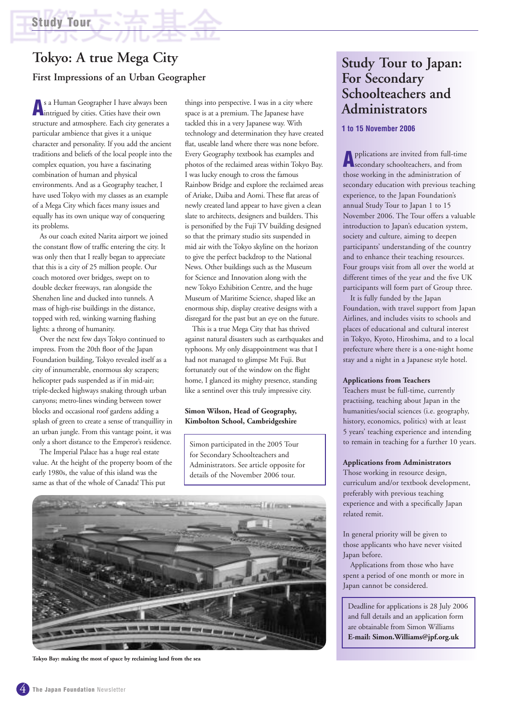## **Tokyo: A true Mega City First Impressions of an Urban Geographer**

**A**<sup>s</sup> <sup>a</sup> Human Geographer I have always been intrigued by cities. Cities have their own structure and atmosphere. Each city generates a particular ambience that gives it a unique character and personality. If you add the ancient traditions and beliefs of the local people into the complex equation, you have a fascinating combination of human and physical environments. And as a Geography teacher, I have used Tokyo with my classes as an example of a Mega City which faces many issues and equally has its own unique way of conquering its problems.

As our coach exited Narita airport we joined the constant flow of traffic entering the city. It was only then that I really began to appreciate that this is a city of 25 million people. Our coach motored over bridges, swept on to double decker freeways, ran alongside the Shenzhen line and ducked into tunnels. A mass of high-rise buildings in the distance, topped with red, winking warning flashing lights: a throng of humanity.

Over the next few days Tokyo continued to impress. From the 20th floor of the Japan Foundation building, Tokyo revealed itself as a city of innumerable, enormous sky scrapers; helicopter pads suspended as if in mid-air; triple-decked highways snaking through urban canyons; metro-lines winding between tower blocks and occasional roof gardens adding a splash of green to create a sense of tranquillity in an urban jungle. From this vantage point, it was only a short distance to the Emperor's residence.

The Imperial Palace has a huge real estate value. At the height of the property boom of the early 1980s, the value of this island was the same as that of the whole of Canada! This put

things into perspective. I was in a city where space is at a premium. The Japanese have tackled this in a very Japanese way. With technology and determination they have created flat, useable land where there was none before. Every Geography textbook has examples and photos of the reclaimed areas within Tokyo Bay. I was lucky enough to cross the famous Rainbow Bridge and explore the reclaimed areas of Ariake, Daiba and Aomi. These flat areas of newly created land appear to have given a clean slate to architects, designers and builders. This is personified by the Fuji TV building designed so that the primary studio sits suspended in mid air with the Tokyo skyline on the horizon to give the perfect backdrop to the National News. Other buildings such as the Museum for Science and Innovation along with the new Tokyo Exhibition Centre, and the huge Museum of Maritime Science, shaped like an enormous ship, display creative designs with a disregard for the past but an eye on the future.

This is a true Mega City that has thrived against natural disasters such as earthquakes and typhoons. My only disappointment was that I had not managed to glimpse Mt Fuji. But fortunately out of the window on the flight home, I glanced its mighty presence, standing like a sentinel over this truly impressive city.

#### **Simon Wilson, Head of Geography, Kimbolton School, Cambridgeshire**

Simon participated in the 2005 Tour for Secondary Schoolteachers and Administrators. See article opposite for details of the November 2006 tour.



**Tokyo Bay: making the most of space by reclaiming land from the sea**

## **Study Tour to Japan: For Secondary Schoolteachers and Administrators**

#### **1 to 15 November 2006**

**A**pplications are invited from full-time secondary schoolteachers, and from those working in the administration of secondary education with previous teaching experience, to the Japan Foundation's annual Study Tour to Japan 1 to 15 November 2006. The Tour offers a valuable introduction to Japan's education system, society and culture, aiming to deepen participants' understanding of the country and to enhance their teaching resources. Four groups visit from all over the world at different times of the year and the five UK participants will form part of Group three.

It is fully funded by the Japan Foundation, with travel support from Japan Airlines, and includes visits to schools and places of educational and cultural interest in Tokyo, Kyoto, Hiroshima, and to a local prefecture where there is a one-night home stay and a night in a Japanese style hotel.

#### **Applications from Teachers**

Teachers must be full-time, currently practising, teaching about Japan in the humanities/social sciences (i.e. geography, history, economics, politics) with at least 5 years' teaching experience and intending to remain in teaching for a further 10 years.

#### **Applications from Administrators**

Those working in resource design, curriculum and/or textbook development, preferably with previous teaching experience and with a specifically Japan related remit.

In general priority will be given to those applicants who have never visited Japan before.

Applications from those who have spent a period of one month or more in Japan cannot be considered.

Deadline for applications is 28 July 2006 and full details and an application form are obtainable from Simon Williams **E-mail: Simon.Williams@jpf.org.uk**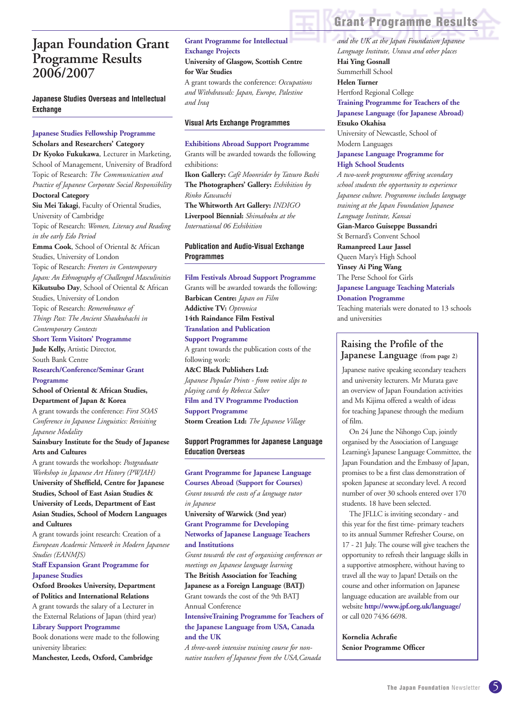## **Japan Foundation Grant Programme Results 2006/2007**

#### **Japanese Studies Overseas and Intellectual Exchange**

#### **Japanese Studies Fellowship Programme Scholars and Researchers' Category**

**Dr Kyoko Fukukawa**, Lecturer in Marketing, School of Management, University of Bradford Topic of Research: *The Communication and Practice of Japanese Corporate Social Responsibility* **Doctoral Category**

**Siu Mei Takagi**, Faculty of Oriental Studies, University of Cambridge Topic of Research: *Women, Literacy and Reading in the early Edo Period*

**Emma Cook**, School of Oriental & African Studies, University of London

Topic of Research: *Freeters in Contemporary Japan: An Ethnography of Challenged Masculinities* **Kikutsubo Day**, School of Oriental & African

Studies, University of London Topic of Research: *Remembrance of Things Past: The Ancient Shaukuhachi in Contemporary Contexts*

**Short Term Visitors' Programme**

**Jude Kelly,** Artistic Director, South Bank Centre

#### **Research/Conference/Seminar Grant Programme**

**School of Oriental & African Studies, Department of Japan & Korea**

A grant towards the conference: *First SOAS Conference in Japanese Linguistics: Revisiting Japanese Modality*

**Sainsbury Institute for the Study of Japanese Arts and Cultures**

A grant towards the workshop: *Postgraduate Workshop in Japanese Art History (PWJAH)* **University of Sheffield, Centre for Japanese Studies, School of East Asian Studies & University of Leeds, Department of East Asian Studies, School of Modern Languages and Cultures**

A grant towards joint research: Creation of a *European Academic Network in Modern Japanese Studies (EANMJS)*

**Staff Expansion Grant Programme for Japanese Studies**

#### **Oxford Brookes University, Department of Politics and International Relations**

A grant towards the salary of a Lecturer in the External Relations of Japan (third year) **Library Support Programme**

Book donations were made to the following university libraries:

**Manchester, Leeds, Oxford, Cambridge**

#### **Grant Programme for Intellectual Exchange Projects University of Glasgow, Scottish Centre for War Studies**

A grant towards the conference: *Occupations and Withdrawals: Japan, Europe, Palestine and Iraq*

#### **Visual Arts Exchange Programmes**

## **Exhibitions Abroad Support Programme**

Grants will be awarded towards the following exhibitions: **Ikon Gallery:** *Café Moonrider by Tatsuro Bashi*  **The Photographers' Gallery:** *Exhibition by Rinko Kawauchi*  **The Whitworth Art Gallery:** *INDIGO*

**Liverpool Biennial:** *Shimabuku at the International 06 Exhibition* 

#### **Publication and Audio-Visual Exchange Programmes**

**Film Festivals Abroad Support Programme** Grants will be awarded towards the following: **Barbican Centre:** *Japan on Film* **Addictive TV:** *Optronica* **14th Raindance Film Festival Translation and Publication Support Programme** A grant towards the publication costs of the following work: **A&C Black Publishers Ltd:** *Japanese Popular Prints - from votive slips to playing cards by Rebecca Salter* **Film and TV Programme Production**

**Support Programme Storm Creation Ltd:** *The Japanese Village*

#### **Support Programmes for Japanese Language Education Overseas**

**Grant Programme for Japanese Language Courses Abroad (Support for Courses)** *Grant towards the costs of a language tutor in Japanese*

**University of Warwick (3nd year) Grant Programme for Developing Networks of Japanese Language Teachers and Institutions**

*Grant towards the cost of organising conferences or meetings on Japanese language learning*

**The British Association for Teaching Japanese as a Foreign Language (BATJ)**

Grant towards the cost of the 9th BATJ Annual Conference

**IntensiveTraining Programme for Teachers of the Japanese Language from USA, Canada and the UK**

*A three-week intensive training course for nonnative teachers of Japanese from the USA,Canada*

## **Grant Programme Results**

*and the UK at the Japan Foundation Japanese Language Institute, Urawa and other places* **Hai Ying Gosnall** Summerhill School **Helen Turner** Hertford Regional College **Training Programme for Teachers of the Japanese Language (for Japanese Abroad) Etsuko Okahisa** University of Newcastle, School of

Modern Languages **Japanese Language Programme for** 

### **High School Students**

*A two-week programme offering secondary school students the opportunity to experience Japanese culture. Programme includes language training at the Japan Foundation Japanese Language Institute, Kansai* **Gian-Marco Guiseppe Bussandri** St Bernard's Convent School **Ramanpreed Laur Jassel** Queen Mary's High School **Yinsey Ai Ping Wang** The Perse School for Girls **Japanese Language Teaching Materials Donation Programme**

Teaching materials were donated to 13 schools and universities

#### **Raising the Profile of the Japanese Language (from page 2)**

Japanese native speaking secondary teachers and university lecturers. Mr Murata gave an overview of Japan Foundation activities and Ms Kijima offered a wealth of ideas for teaching Japanese through the medium of film.

On 24 June the Nihongo Cup, jointly organised by the Association of Language Learning's Japanese Language Committee, the Japan Foundation and the Embassy of Japan, promises to be a first class demonstration of spoken Japanese at secondary level. A record number of over 30 schools entered over 170 students. 18 have been selected.

The JFLLC is inviting secondary - and this year for the first time- primary teachers to its annual Summer Refresher Course, on 17 - 21 July. The course will give teachers the opportunity to refresh their language skills in a supportive atmosphere, without having to travel all the way to Japan! Details on the course and other information on Japanese language education are available from our website **http://www.jpf.org.uk/language/** or call 020 7436 6698.

**Kornelia Achrafie Senior Programme Officer**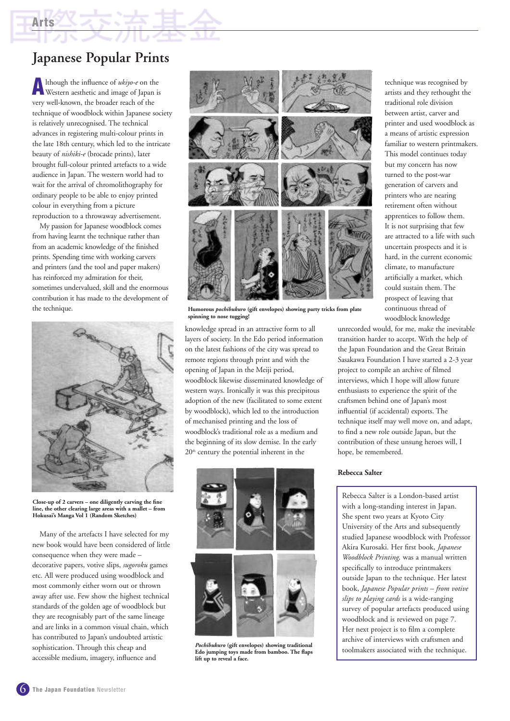## **Japanese Popular Prints**

**A**lthough the influence of *ukiyo-e* on the Western aesthetic and image of Japan is very well-known, the broader reach of the technique of woodblock within Japanese society is relatively unrecognised. The technical advances in registering multi-colour prints in the late 18th century, which led to the intricate beauty of *nishiki-e* (brocade prints), later brought full-colour printed artefacts to a wide audience in Japan. The western world had to wait for the arrival of chromolithography for ordinary people to be able to enjoy printed colour in everything from a picture reproduction to a throwaway advertisement.

My passion for Japanese woodblock comes from having learnt the technique rather than from an academic knowledge of the finished prints. Spending time with working carvers and printers (and the tool and paper makers) has reinforced my admiration for their, sometimes undervalued, skill and the enormous contribution it has made to the development of the technique.



**Close-up of 2 carvers – one diligently carving the fine line, the other clearing large areas with a mallet – from Hokusai's Manga Vol 1 (Random Sketches)**

Many of the artefacts I have selected for my new book would have been considered of little consequence when they were made – decorative papers, votive slips, *sugoroku* games etc. All were produced using woodblock and most commonly either worn out or thrown away after use. Few show the highest technical standards of the golden age of woodblock but they are recognisably part of the same lineage and are links in a common visual chain, which has contributed to Japan's undoubted artistic sophistication. Through this cheap and accessible medium, imagery, influence and



**Humorous** *pochibukuro* **(gift envelopes) showing party tricks from plate spinning to nose tugging!**

knowledge spread in an attractive form to all layers of society. In the Edo period information on the latest fashions of the city was spread to remote regions through print and with the opening of Japan in the Meiji period, woodblock likewise disseminated knowledge of western ways. Ironically it was this precipitous adoption of the new (facilitated to some extent by woodblock), which led to the introduction of mechanised printing and the loss of woodblock's traditional role as a medium and the beginning of its slow demise. In the early  $20<sup>th</sup>$  century the potential inherent in the



*Pochibukuro* **(gift envelopes) showing traditional Edo jumping toys made from bamboo. The flaps lift up to reveal a face.**

technique was recognised by artists and they rethought the traditional role division between artist, carver and printer and used woodblock as a means of artistic expression familiar to western printmakers. This model continues today but my concern has now turned to the post-war generation of carvers and printers who are nearing retirement often without apprentices to follow them. It is not surprising that few are attracted to a life with such uncertain prospects and it is hard, in the current economic climate, to manufacture artificially a market, which could sustain them. The prospect of leaving that continuous thread of woodblock knowledge

unrecorded would, for me, make the inevitable transition harder to accept. With the help of the Japan Foundation and the Great Britain Sasakawa Foundation I have started a 2-3 year project to compile an archive of filmed interviews, which I hope will allow future enthusiasts to experience the spirit of the craftsmen behind one of Japan's most influential (if accidental) exports. The technique itself may well move on, and adapt, to find a new role outside Japan, but the contribution of these unsung heroes will, I hope, be remembered.

#### **Rebecca Salter**

Rebecca Salter is a London-based artist with a long-standing interest in Japan. She spent two years at Kyoto City University of the Arts and subsequently studied Japanese woodblock with Professor Akira Kurosaki. Her first book, *Japanese Woodblock Printing,* was a manual written specifically to introduce printmakers outside Japan to the technique. Her latest book, *Japanese Popular prints – from votive slips to playing cards* is a wide-ranging survey of popular artefacts produced using woodblock and is reviewed on page 7. Her next project is to film a complete archive of interviews with craftsmen and toolmakers associated with the technique.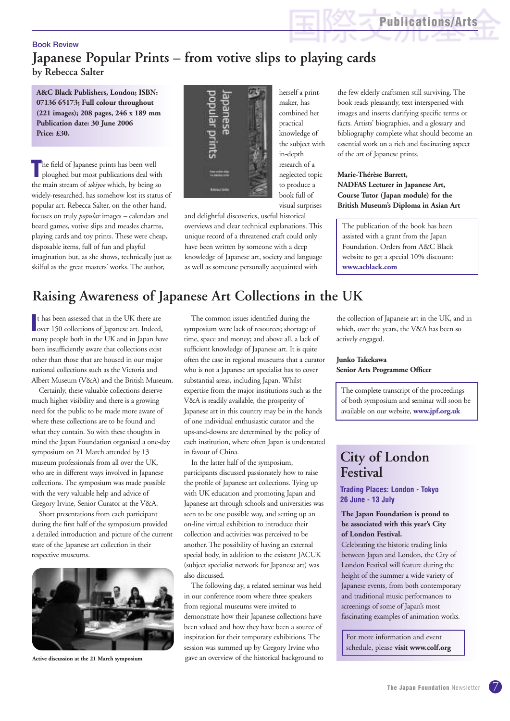**Publications/Arts**

#### Book Review **Japanese Popular Prints – from votive slips to playing cards by Rebecca Salter**

**A&C Black Publishers, London; ISBN: 07136 65173; Full colour throughout (221 images); 208 pages, 246 x 189 mm Publication date: 30 June 2006 Price: £30.** 

**T**he field of Japanese prints has been well ploughed but most publications deal with the main stream of *ukiyoe* which, by being so widely-researched, has somehow lost its status of popular art. Rebecca Salter, on the other hand, focuses on truly *popular* images – calendars and board games, votive slips and measles charms, playing cards and toy prints. These were cheap, disposable items, full of fun and playful imagination but, as she shows, technically just as skilful as the great masters' works. The author,



herself a printmaker, has combined her practical knowledge of the subject with in-depth research of a neglected topic to produce a book full of visual surprises

and delightful discoveries, useful historical overviews and clear technical explanations. This unique record of a threatened craft could only have been written by someone with a deep knowledge of Japanese art, society and language as well as someone personally acquainted with

the few elderly craftsmen still surviving. The book reads pleasantly, text interspersed with images and inserts clarifying specific terms or facts. Artists' biographies, and a glossary and bibliography complete what should become an essential work on a rich and fascinating aspect of the art of Japanese prints.

#### **Marie-Thérèse Barrett, NADFAS Lecturer in Japanese Art, Course Tutor (Japan module) for the British Museum's Diploma in Asian Art**

The publication of the book has been assisted with a grant from the Japan Foundation. Orders from A&C Black website to get a special 10% discount: **www.acblack.com** 

## **Raising Awareness of Japanese Art Collections in the UK**

It has been assessed that in the UK there are<br>
over 150 collections of Japanese art. Indeed, t has been assessed that in the UK there are many people both in the UK and in Japan have been insufficiently aware that collections exist other than those that are housed in our major national collections such as the Victoria and Albert Museum (V&A) and the British Museum.

Certainly, these valuable collections deserve much higher visibility and there is a growing need for the public to be made more aware of where these collections are to be found and what they contain. So with these thoughts in mind the Japan Foundation organised a one-day symposium on 21 March attended by 13 museum professionals from all over the UK, who are in different ways involved in Japanese collections. The symposium was made possible with the very valuable help and advice of Gregory Irvine, Senior Curator at the V&A.

Short presentations from each participant during the first half of the symposium provided a detailed introduction and picture of the current state of the Japanese art collection in their respective museums.



**Active discussion at the 21 March symposium**

The common issues identified during the symposium were lack of resources; shortage of time, space and money; and above all, a lack of sufficient knowledge of Japanese art. It is quite often the case in regional museums that a curator who is not a Japanese art specialist has to cover substantial areas, including Japan. Whilst expertise from the major institutions such as the V&A is readily available, the prosperity of Japanese art in this country may be in the hands of one individual enthusiastic curator and the ups-and-downs are determined by the policy of each institution, where often Japan is understated in favour of China.

In the latter half of the symposium, participants discussed passionately how to raise the profile of Japanese art collections. Tying up with UK education and promoting Japan and Japanese art through schools and universities was seen to be one possible way, and setting up an on-line virtual exhibition to introduce their collection and activities was perceived to be another. The possibility of having an external special body, in addition to the existent JACUK (subject specialist network for Japanese art) was also discussed.

The following day, a related seminar was held in our conference room where three speakers from regional museums were invited to demonstrate how their Japanese collections have been valued and how they have been a source of inspiration for their temporary exhibitions. The session was summed up by Gregory Irvine who gave an overview of the historical background to

the collection of Japanese art in the UK, and in which, over the years, the V&A has been so actively engaged.

#### **Junko Takekawa Senior Arts Programme Officer**

The complete transcript of the proceedings of both symposium and seminar will soon be available on our website, **www.jpf.org.uk**

## **City of London Festival**

#### **Trading Places: London - Tokyo 26 June - 13 July**

#### **The Japan Foundation is proud to be associated with this year's City of London Festival.**

Celebrating the historic trading links between Japan and London, the City of London Festival will feature during the height of the summer a wide variety of Japanese events, from both contemporary and traditional music performances to screenings of some of Japan's most fascinating examples of animation works.

For more information and event schedule, please **visit www.colf.org**